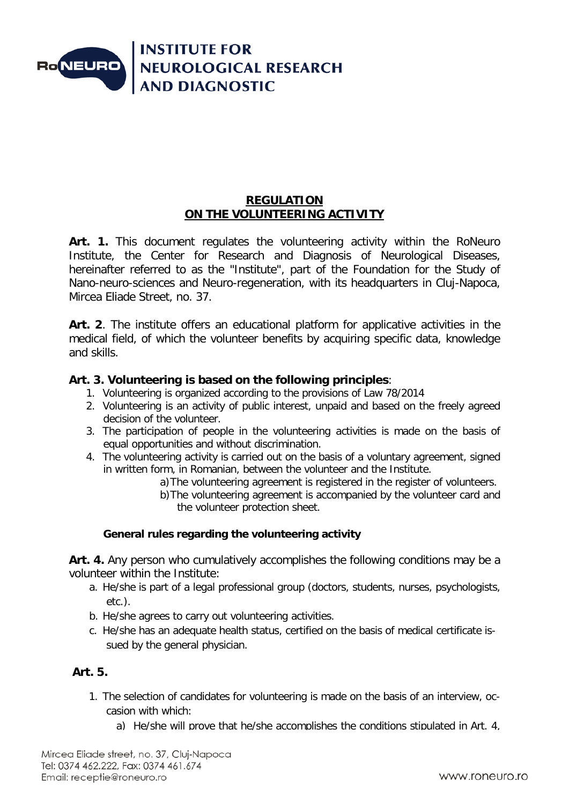

### **REGULATION ON THE VOLUNTEERING ACTIVITY**

Art. 1. This document regulates the volunteering activity within the RoNeuro Institute, the Center for Research and Diagnosis of Neurological Diseases, hereinafter referred to as the "Institute", part of the Foundation for the Study of Nano-neuro-sciences and Neuro-regeneration, with its headquarters in Cluj-Napoca, Mircea Eliade Street, no. 37.

**Art. 2**. The institute offers an educational platform for applicative activities in the medical field, of which the volunteer benefits by acquiring specific data, knowledge and skills.

## **Art. 3. Volunteering is based on the following principles**:

- 1. Volunteering is organized according to the provisions of Law 78/2014
- 2. Volunteering is an activity of public interest, unpaid and based on the freely agreed decision of the volunteer.
- 3. The participation of people in the volunteering activities is made on the basis of equal opportunities and without discrimination.
- 4. The volunteering activity is carried out on the basis of a voluntary agreement, signed in written form, in Romanian, between the volunteer and the Institute.
	- a)The volunteering agreement is registered in the register of volunteers.
	- b)The volunteering agreement is accompanied by the volunteer card and the volunteer protection sheet.

## **General rules regarding the volunteering activity**

**Art. 4.** Any person who cumulatively accomplishes the following conditions may be a volunteer within the Institute:

- a. He/she is part of a legal professional group (doctors, students, nurses, psychologists, etc.).
- b. He/she agrees to carry out volunteering activities.
- c. He/she has an adequate health status, certified on the basis of medical certificate issued by the general physician.

#### **Art. 5.**

- 1. The selection of candidates for volunteering is made on the basis of an interview, occasion with which:
	- a) He/she will prove that he/she accomplishes the conditions stipulated in Art. 4,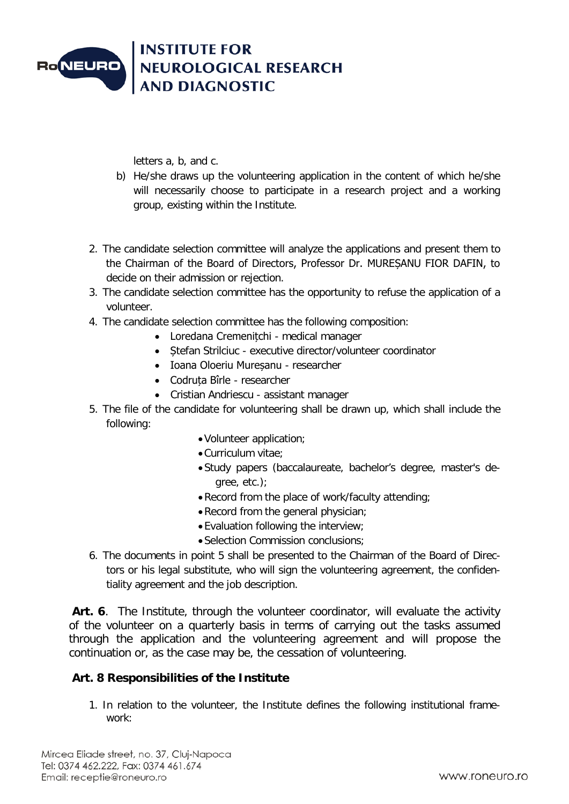

letters a, b, and c.

- b) He/she draws up the volunteering application in the content of which he/she will necessarily choose to participate in a research project and a working group, existing within the Institute.
- 2. The candidate selection committee will analyze the applications and present them to the Chairman of the Board of Directors, Professor Dr. MUREȘANU FIOR DAFIN, to decide on their admission or rejection.
- 3. The candidate selection committee has the opportunity to refuse the application of a volunteer.
- 4. The candidate selection committee has the following composition:
	- Loredana Cremenițchi medical manager
	- Stefan Strilciuc executive director/volunteer coordinator
	- Ioana Oloeriu Mureșanu researcher
	- Codruța Bîrle researcher
	- Cristian Andriescu assistant manager
- 5. The file of the candidate for volunteering shall be drawn up, which shall include the following:
	- •Volunteer application;
	- •Curriculum vitae;
	- •Study papers (baccalaureate, bachelor's degree, master's degree, etc.);
	- •Record from the place of work/faculty attending;
	- •Record from the general physician;
	- •Evaluation following the interview;
	- •Selection Commission conclusions;
- 6. The documents in point 5 shall be presented to the Chairman of the Board of Directors or his legal substitute, who will sign the volunteering agreement, the confidentiality agreement and the job description.

Art. 6. The Institute, through the volunteer coordinator, will evaluate the activity of the volunteer on a quarterly basis in terms of carrying out the tasks assumed through the application and the volunteering agreement and will propose the continuation or, as the case may be, the cessation of volunteering.

#### **Art. 8 Responsibilities of the Institute**

1. In relation to the volunteer, the Institute defines the following institutional framework: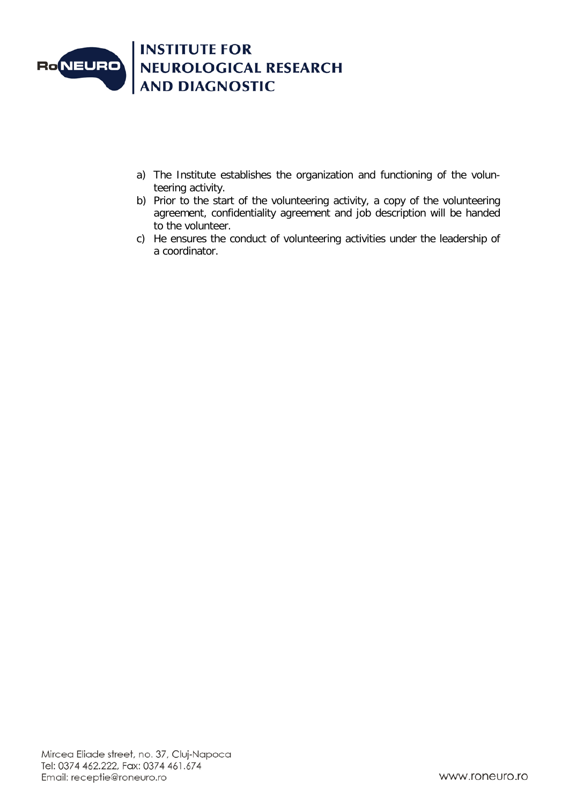

- a) The Institute establishes the organization and functioning of the volunteering activity.
- b) Prior to the start of the volunteering activity, a copy of the volunteering agreement, confidentiality agreement and job description will be handed to the volunteer.
- c) He ensures the conduct of volunteering activities under the leadership of a coordinator.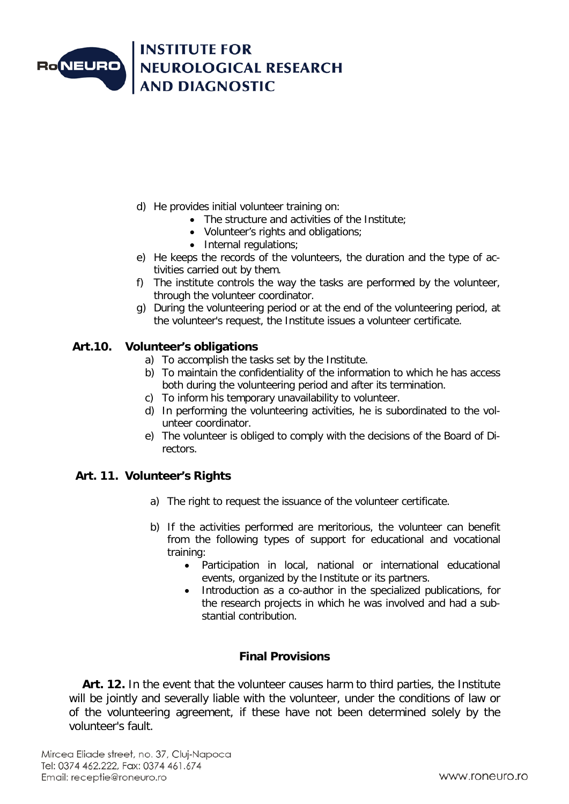

- d) He provides initial volunteer training on:
	- The structure and activities of the Institute;
	- Volunteer's rights and obligations:
	- Internal regulations;
- e) He keeps the records of the volunteers, the duration and the type of activities carried out by them.
- f) The institute controls the way the tasks are performed by the volunteer, through the volunteer coordinator.
- g) During the volunteering period or at the end of the volunteering period, at the volunteer's request, the Institute issues a volunteer certificate.

#### **Art.10. Volunteer's obligations**

- a) To accomplish the tasks set by the Institute.
- b) To maintain the confidentiality of the information to which he has access both during the volunteering period and after its termination.
- c) To inform his temporary unavailability to volunteer.
- d) In performing the volunteering activities, he is subordinated to the volunteer coordinator.
- e) The volunteer is obliged to comply with the decisions of the Board of Directors.

#### **Art. 11. Volunteer's Rights**

- a) The right to request the issuance of the volunteer certificate.
- b) If the activities performed are meritorious, the volunteer can benefit from the following types of support for educational and vocational training:
	- Participation in local, national or international educational events, organized by the Institute or its partners.
	- Introduction as a co-author in the specialized publications, for the research projects in which he was involved and had a substantial contribution.

## **Final Provisions**

 **Art. 12.** In the event that the volunteer causes harm to third parties, the Institute will be jointly and severally liable with the volunteer, under the conditions of law or of the volunteering agreement, if these have not been determined solely by the volunteer's fault.